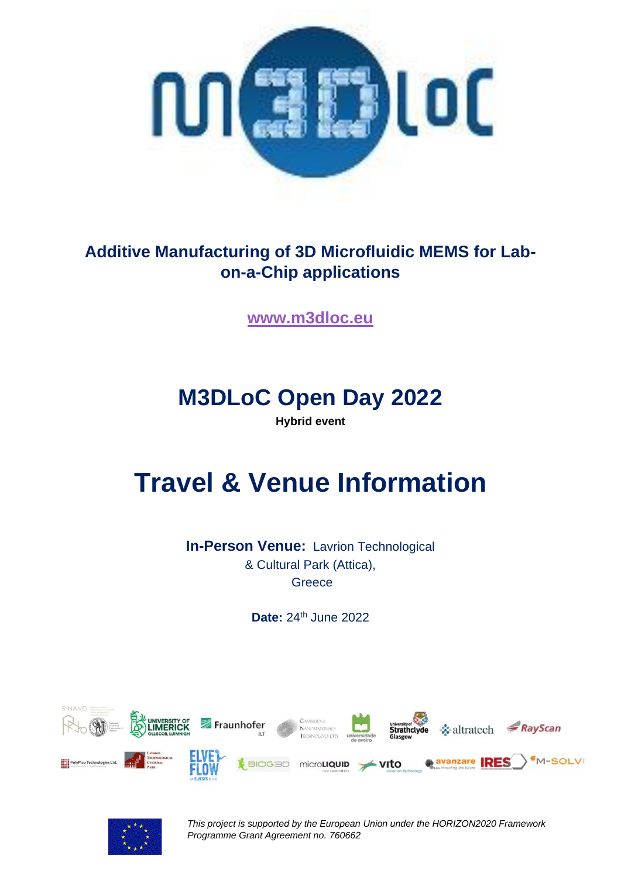

## **Additive Manufacturing of 3D Microfluidic MEMS for Labon-a-Chip applications**

**[www.m3dloc.eu](http://www.m3dloc.eu/)**

## **M3DLoC Open Day 2022**

**Hybrid event**

# **Travel & Venue Information**

**In-Person Venue:** Lavrion Technological & Cultural Park (Attica), **Greece** 

**Date: 24th June 2022** 





*This project is supported by the European Union under the HORIZON2020 Framework Programme Grant Agreement no. 760662*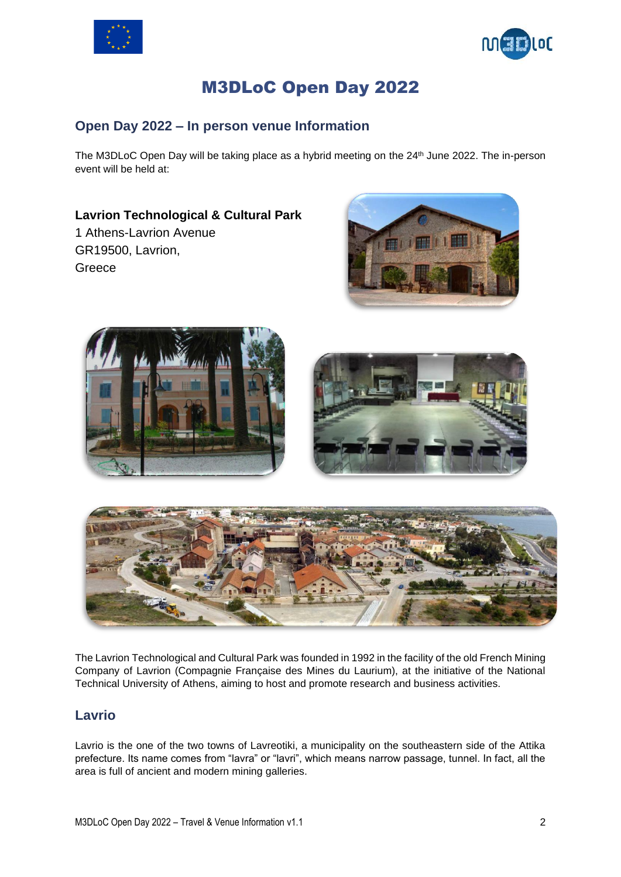



## M3DLoC Open Day 2022

#### **Open Day 2022 – In person venue Information**

The M3DLoC Open Day will be taking place as a hybrid meeting on the 24<sup>th</sup> June 2022. The in-person event will be held at:

### **Lavrion Technological & Cultural Park**

1 Athens-Lavrion Avenue GR19500, Lavrion, Greece









The Lavrion Technological and Cultural Park was founded in 1992 in the facility of the old French Mining Company of Lavrion (Compagnie Française des Mines du Laurium), at the initiative of the National Technical University of Athens, aiming to host and promote research and business activities.

#### **Lavrio**

Lavrio is the one of the two towns of Lavreotiki, a municipality on the southeastern side of the Attika prefecture. Its name comes from "lavra" or "lavri", which means narrow passage, tunnel. In fact, all the area is full of ancient and modern mining galleries.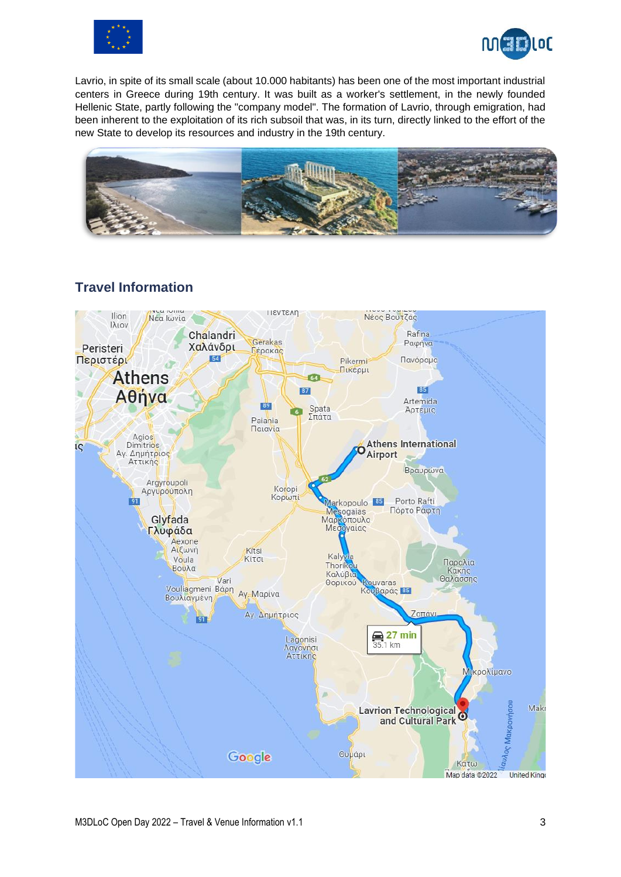



Lavrio, in spite of its small scale (about 10.000 habitants) has been one of the most important industrial centers in Greece during 19th century. It was built as a worker's settlement, in the newly founded Hellenic State, partly following the "company model". The formation of Lavrio, through emigration, had been inherent to the exploitation of its rich subsoil that was, in its turn, directly linked to the effort of the new State to develop its resources and industry in the 19th century.



#### **Travel Information**

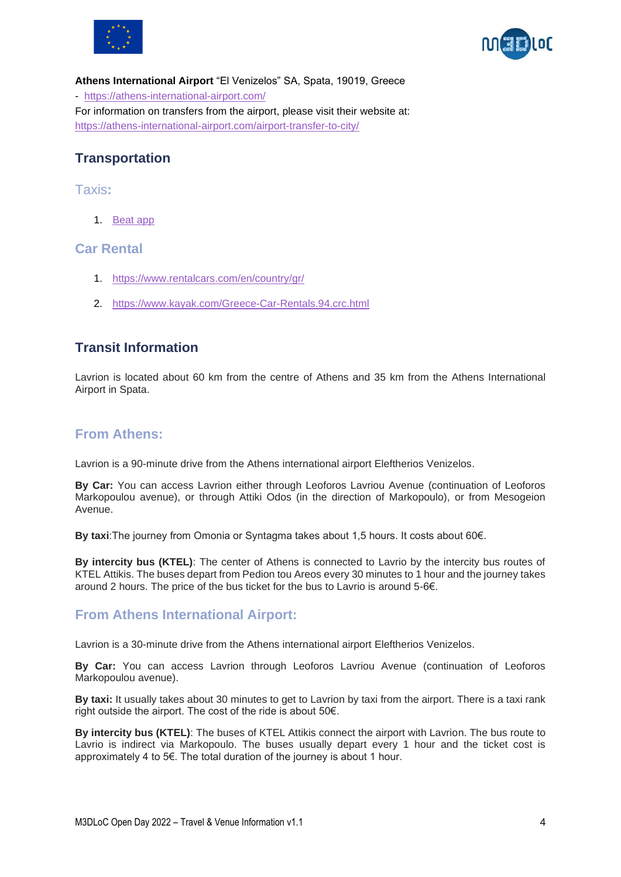



**Athens International Airport** "El Venizelos" SA, Spata, 19019, Greece - <https://athens-international-airport.com/> For information on transfers from the airport, please visit their website at: <https://athens-international-airport.com/airport-transfer-to-city/>

#### **Transportation**

#### Taxis**:**

1. [Beat app](https://thebeat.co/gr-en/)

#### **Car Rental**

- 1. <https://www.rentalcars.com/en/country/gr/>
- 2. <https://www.kayak.com/Greece-Car-Rentals.94.crc.html>

#### **Transit Information**

Lavrion is located about 60 km from the centre of Athens and 35 km from the Athens International Airport in Spata.

#### **From Athens:**

Lavrion is a 90-minute drive from the Athens international airport Eleftherios Venizelos.

**By Car:** You can access Lavrion either through Leoforos Lavriou Avenue (continuation of Leoforos Markopoulou avenue), or through Attiki Odos (in the direction of Markopoulo), or from Mesogeion Avenue.

**By taxi**:The journey from Omonia or Syntagma takes about 1,5 hours. It costs about 60€.

**By intercity bus (KTEL)**: The center of Athens is connected to Lavrio by the intercity bus routes of KTEL Attikis. The buses depart from Pedion tou Areos every 30 minutes to 1 hour and the journey takes around 2 hours. The price of the bus ticket for the bus to Lavrio is around 5-6€.

#### **From Athens International Airport:**

Lavrion is a 30-minute drive from the Athens international airport Eleftherios Venizelos.

**By Car:** You can access Lavrion through Leoforos Lavriou Avenue (continuation of Leoforos Markopoulou avenue).

**By taxi:** It usually takes about 30 minutes to get to Lavrion by taxi from the airport. There is a taxi rank right outside the airport. The cost of the ride is about 50€.

**By intercity bus (KTEL)**: The buses of KTEL Attikis connect the airport with Lavrion. The bus route to Lavrio is indirect via Markopoulo. The buses usually depart every 1 hour and the ticket cost is approximately 4 to 5€. The total duration of the journey is about 1 hour.